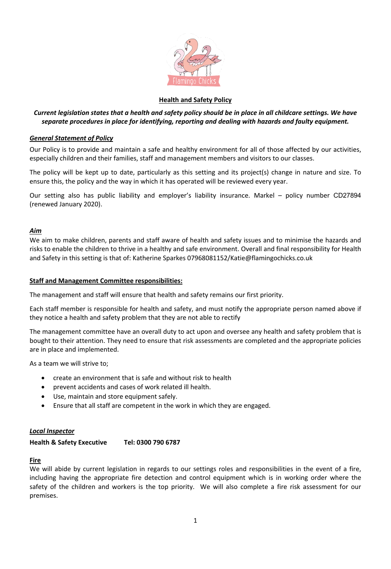

# **Health and Safety Policy**

# *Current legislation states that a health and safety policy should be in place in all childcare settings. We have separate procedures in place for identifying, reporting and dealing with hazards and faulty equipment.*

## *General Statement of Policy*

Our Policy is to provide and maintain a safe and healthy environment for all of those affected by our activities, especially children and their families, staff and management members and visitors to our classes.

The policy will be kept up to date, particularly as this setting and its project(s) change in nature and size. To ensure this, the policy and the way in which it has operated will be reviewed every year.

Our setting also has public liability and employer's liability insurance. Markel – policy number CD27894 (renewed January 2020).

### *Aim*

We aim to make children, parents and staff aware of health and safety issues and to minimise the hazards and risks to enable the children to thrive in a healthy and safe environment. Overall and final responsibility for Health and Safety in this setting is that of: Katherine Sparkes 07968081152/Katie@flamingochicks.co.uk

### **Staff and Management Committee responsibilities:**

The management and staff will ensure that health and safety remains our first priority.

Each staff member is responsible for health and safety, and must notify the appropriate person named above if they notice a health and safety problem that they are not able to rectify

The management committee have an overall duty to act upon and oversee any health and safety problem that is bought to their attention. They need to ensure that risk assessments are completed and the appropriate policies are in place and implemented.

As a team we will strive to;

- create an environment that is safe and without risk to health
- prevent accidents and cases of work related ill health.
- Use, maintain and store equipment safely.
- Ensure that all staff are competent in the work in which they are engaged.

### *Local Inspector*

### **Health & Safety Executive Tel: 0300 790 6787**

### **Fire**

We will abide by current legislation in regards to our settings roles and responsibilities in the event of a fire, including having the appropriate fire detection and control equipment which is in working order where the safety of the children and workers is the top priority. We will also complete a fire risk assessment for our premises.